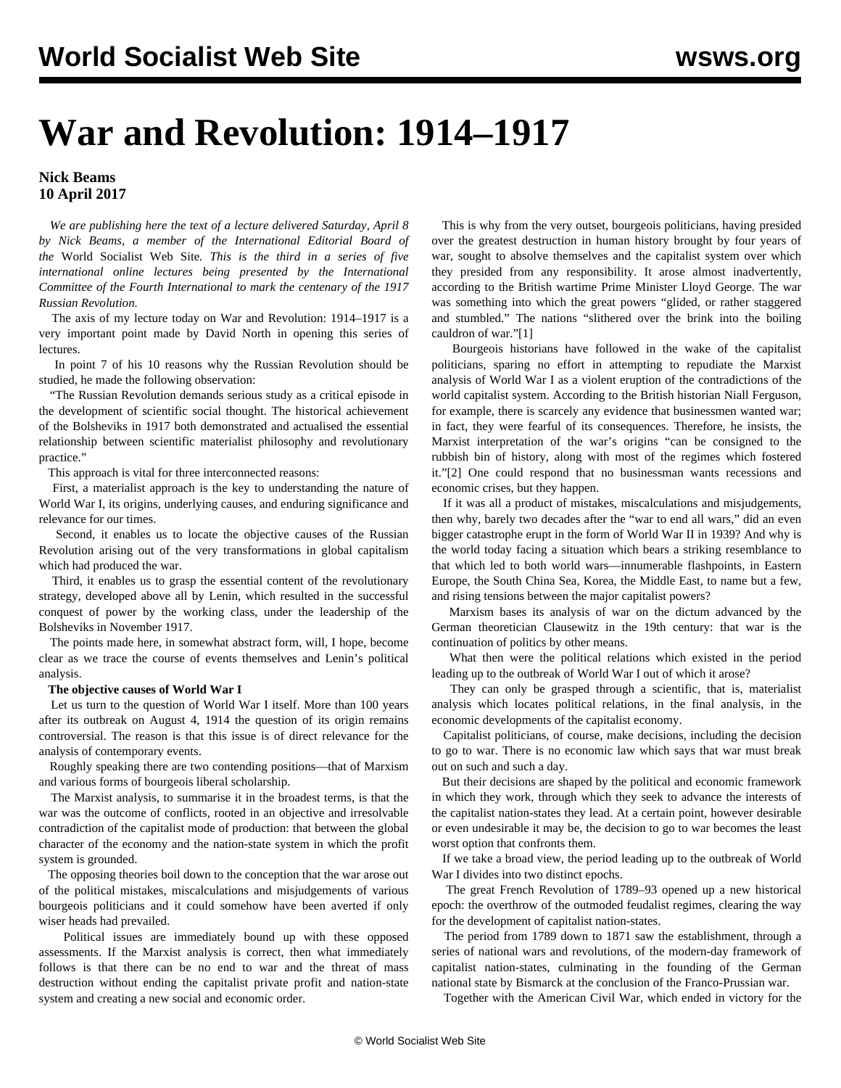# **War and Revolution: 1914–1917**

### **Nick Beams 10 April 2017**

 *We are publishing here the text of a lecture delivered Saturday, April 8 by Nick Beams, a member of the International Editorial Board of the* World Socialist Web Site*. This is the third in a series of five international online lectures being presented by the International Committee of the Fourth International to mark the centenary of the 1917 Russian Revolution.*

 The axis of my lecture today on War and Revolution: 1914–1917 is a very important point made by David North in opening this series of lectures.

 In point 7 of his 10 reasons why the Russian Revolution should be studied, he made the following observation:

 "The Russian Revolution demands serious study as a critical episode in the development of scientific social thought. The historical achievement of the Bolsheviks in 1917 both demonstrated and actualised the essential relationship between scientific materialist philosophy and revolutionary practice."

This approach is vital for three interconnected reasons:

 First, a materialist approach is the key to understanding the nature of World War I, its origins, underlying causes, and enduring significance and relevance for our times.

 Second, it enables us to locate the objective causes of the Russian Revolution arising out of the very transformations in global capitalism which had produced the war.

 Third, it enables us to grasp the essential content of the revolutionary strategy, developed above all by Lenin, which resulted in the successful conquest of power by the working class, under the leadership of the Bolsheviks in November 1917.

 The points made here, in somewhat abstract form, will, I hope, become clear as we trace the course of events themselves and Lenin's political analysis.

#### **The objective causes of World War I**

 Let us turn to the question of World War I itself. More than 100 years after its outbreak on August 4, 1914 the question of its origin remains controversial. The reason is that this issue is of direct relevance for the analysis of contemporary events.

 Roughly speaking there are two contending positions—that of Marxism and various forms of bourgeois liberal scholarship.

 The Marxist analysis, to summarise it in the broadest terms, is that the war was the outcome of conflicts, rooted in an objective and irresolvable contradiction of the capitalist mode of production: that between the global character of the economy and the nation-state system in which the profit system is grounded.

 The opposing theories boil down to the conception that the war arose out of the political mistakes, miscalculations and misjudgements of various bourgeois politicians and it could somehow have been averted if only wiser heads had prevailed.

 Political issues are immediately bound up with these opposed assessments. If the Marxist analysis is correct, then what immediately follows is that there can be no end to war and the threat of mass destruction without ending the capitalist private profit and nation-state system and creating a new social and economic order.

 This is why from the very outset, bourgeois politicians, having presided over the greatest destruction in human history brought by four years of war, sought to absolve themselves and the capitalist system over which they presided from any responsibility. It arose almost inadvertently, according to the British wartime Prime Minister Lloyd George. The war was something into which the great powers "glided, or rather staggered and stumbled." The nations "slithered over the brink into the boiling cauldron of war."[1]

 Bourgeois historians have followed in the wake of the capitalist politicians, sparing no effort in attempting to repudiate the Marxist analysis of World War I as a violent eruption of the contradictions of the world capitalist system. According to the British historian Niall Ferguson, for example, there is scarcely any evidence that businessmen wanted war; in fact, they were fearful of its consequences. Therefore, he insists, the Marxist interpretation of the war's origins "can be consigned to the rubbish bin of history, along with most of the regimes which fostered it."[2] One could respond that no businessman wants recessions and economic crises, but they happen.

 If it was all a product of mistakes, miscalculations and misjudgements, then why, barely two decades after the "war to end all wars," did an even bigger catastrophe erupt in the form of World War II in 1939? And why is the world today facing a situation which bears a striking resemblance to that which led to both world wars—innumerable flashpoints, in Eastern Europe, the South China Sea, Korea, the Middle East, to name but a few, and rising tensions between the major capitalist powers?

 Marxism bases its analysis of war on the dictum advanced by the German theoretician Clausewitz in the 19th century: that war is the continuation of politics by other means.

 What then were the political relations which existed in the period leading up to the outbreak of World War I out of which it arose?

 They can only be grasped through a scientific, that is, materialist analysis which locates political relations, in the final analysis, in the economic developments of the capitalist economy.

 Capitalist politicians, of course, make decisions, including the decision to go to war. There is no economic law which says that war must break out on such and such a day.

 But their decisions are shaped by the political and economic framework in which they work, through which they seek to advance the interests of the capitalist nation-states they lead. At a certain point, however desirable or even undesirable it may be, the decision to go to war becomes the least worst option that confronts them.

 If we take a broad view, the period leading up to the outbreak of World War I divides into two distinct epochs.

 The great French Revolution of 1789–93 opened up a new historical epoch: the overthrow of the outmoded feudalist regimes, clearing the way for the development of capitalist nation-states.

 The period from 1789 down to 1871 saw the establishment, through a series of national wars and revolutions, of the modern-day framework of capitalist nation-states, culminating in the founding of the German national state by Bismarck at the conclusion of the Franco-Prussian war.

Together with the American Civil War, which ended in victory for the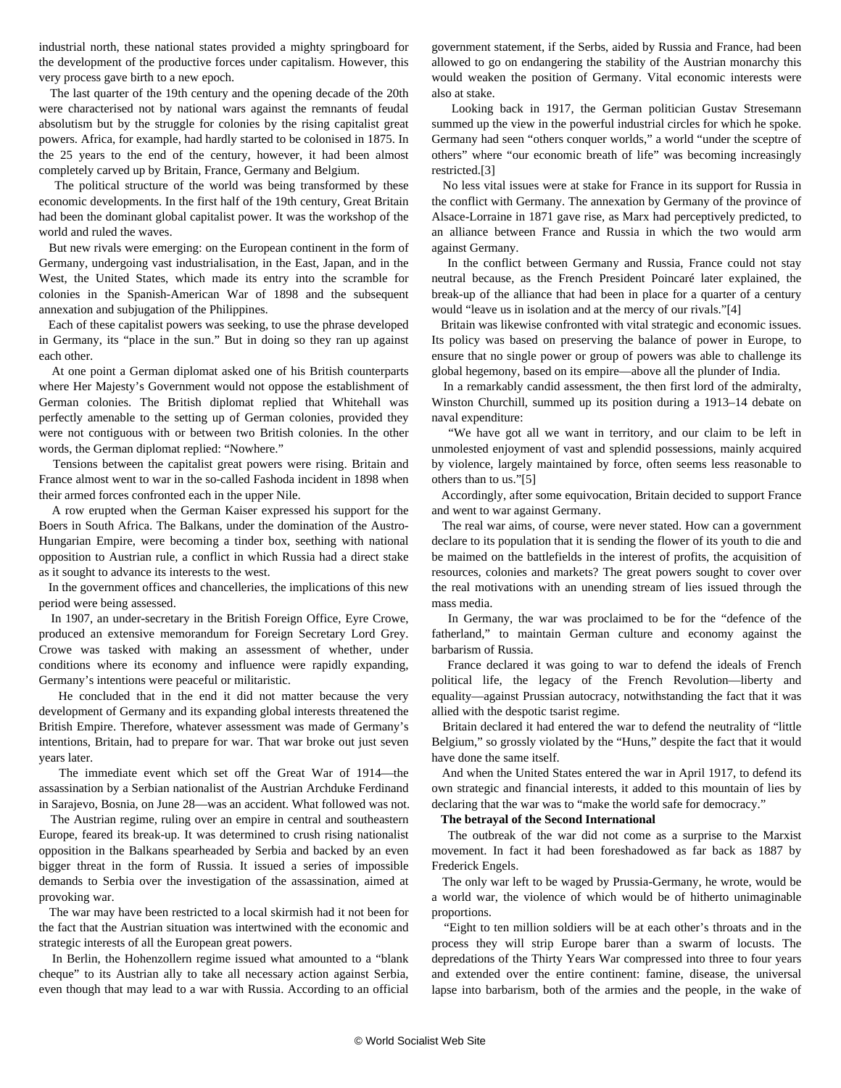industrial north, these national states provided a mighty springboard for the development of the productive forces under capitalism. However, this very process gave birth to a new epoch.

 The last quarter of the 19th century and the opening decade of the 20th were characterised not by national wars against the remnants of feudal absolutism but by the struggle for colonies by the rising capitalist great powers. Africa, for example, had hardly started to be colonised in 1875. In the 25 years to the end of the century, however, it had been almost completely carved up by Britain, France, Germany and Belgium.

 The political structure of the world was being transformed by these economic developments. In the first half of the 19th century, Great Britain had been the dominant global capitalist power. It was the workshop of the world and ruled the waves.

 But new rivals were emerging: on the European continent in the form of Germany, undergoing vast industrialisation, in the East, Japan, and in the West, the United States, which made its entry into the scramble for colonies in the Spanish-American War of 1898 and the subsequent annexation and subjugation of the Philippines.

 Each of these capitalist powers was seeking, to use the phrase developed in Germany, its "place in the sun." But in doing so they ran up against each other.

 At one point a German diplomat asked one of his British counterparts where Her Majesty's Government would not oppose the establishment of German colonies. The British diplomat replied that Whitehall was perfectly amenable to the setting up of German colonies, provided they were not contiguous with or between two British colonies. In the other words, the German diplomat replied: "Nowhere."

 Tensions between the capitalist great powers were rising. Britain and France almost went to war in the so-called Fashoda incident in 1898 when their armed forces confronted each in the upper Nile.

 A row erupted when the German Kaiser expressed his support for the Boers in South Africa. The Balkans, under the domination of the Austro-Hungarian Empire, were becoming a tinder box, seething with national opposition to Austrian rule, a conflict in which Russia had a direct stake as it sought to advance its interests to the west.

 In the government offices and chancelleries, the implications of this new period were being assessed.

 In 1907, an under-secretary in the British Foreign Office, Eyre Crowe, produced an extensive memorandum for Foreign Secretary Lord Grey. Crowe was tasked with making an assessment of whether, under conditions where its economy and influence were rapidly expanding, Germany's intentions were peaceful or militaristic.

 He concluded that in the end it did not matter because the very development of Germany and its expanding global interests threatened the British Empire. Therefore, whatever assessment was made of Germany's intentions, Britain, had to prepare for war. That war broke out just seven years later.

 The immediate event which set off the Great War of 1914—the assassination by a Serbian nationalist of the Austrian Archduke Ferdinand in Sarajevo, Bosnia, on June 28—was an accident. What followed was not.

 The Austrian regime, ruling over an empire in central and southeastern Europe, feared its break-up. It was determined to crush rising nationalist opposition in the Balkans spearheaded by Serbia and backed by an even bigger threat in the form of Russia. It issued a series of impossible demands to Serbia over the investigation of the assassination, aimed at provoking war.

 The war may have been restricted to a local skirmish had it not been for the fact that the Austrian situation was intertwined with the economic and strategic interests of all the European great powers.

 In Berlin, the Hohenzollern regime issued what amounted to a "blank cheque" to its Austrian ally to take all necessary action against Serbia, even though that may lead to a war with Russia. According to an official government statement, if the Serbs, aided by Russia and France, had been allowed to go on endangering the stability of the Austrian monarchy this would weaken the position of Germany. Vital economic interests were also at stake.

 Looking back in 1917, the German politician Gustav Stresemann summed up the view in the powerful industrial circles for which he spoke. Germany had seen "others conquer worlds," a world "under the sceptre of others" where "our economic breath of life" was becoming increasingly restricted.[3]

 No less vital issues were at stake for France in its support for Russia in the conflict with Germany. The annexation by Germany of the province of Alsace-Lorraine in 1871 gave rise, as Marx had perceptively predicted, to an alliance between France and Russia in which the two would arm against Germany.

 In the conflict between Germany and Russia, France could not stay neutral because, as the French President Poincaré later explained, the break-up of the alliance that had been in place for a quarter of a century would "leave us in isolation and at the mercy of our rivals."[4]

 Britain was likewise confronted with vital strategic and economic issues. Its policy was based on preserving the balance of power in Europe, to ensure that no single power or group of powers was able to challenge its global hegemony, based on its empire—above all the plunder of India.

 In a remarkably candid assessment, the then first lord of the admiralty, Winston Churchill, summed up its position during a 1913–14 debate on naval expenditure:

 "We have got all we want in territory, and our claim to be left in unmolested enjoyment of vast and splendid possessions, mainly acquired by violence, largely maintained by force, often seems less reasonable to others than to us."[5]

 Accordingly, after some equivocation, Britain decided to support France and went to war against Germany.

 The real war aims, of course, were never stated. How can a government declare to its population that it is sending the flower of its youth to die and be maimed on the battlefields in the interest of profits, the acquisition of resources, colonies and markets? The great powers sought to cover over the real motivations with an unending stream of lies issued through the mass media.

 In Germany, the war was proclaimed to be for the "defence of the fatherland," to maintain German culture and economy against the barbarism of Russia.

 France declared it was going to war to defend the ideals of French political life, the legacy of the French Revolution—liberty and equality—against Prussian autocracy, notwithstanding the fact that it was allied with the despotic tsarist regime.

 Britain declared it had entered the war to defend the neutrality of "little Belgium," so grossly violated by the "Huns," despite the fact that it would have done the same itself.

 And when the United States entered the war in April 1917, to defend its own strategic and financial interests, it added to this mountain of lies by declaring that the war was to "make the world safe for democracy."

#### **The betrayal of the Second International**

 The outbreak of the war did not come as a surprise to the Marxist movement. In fact it had been foreshadowed as far back as 1887 by Frederick Engels.

 The only war left to be waged by Prussia-Germany, he wrote, would be a world war, the violence of which would be of hitherto unimaginable proportions.

 "Eight to ten million soldiers will be at each other's throats and in the process they will strip Europe barer than a swarm of locusts. The depredations of the Thirty Years War compressed into three to four years and extended over the entire continent: famine, disease, the universal lapse into barbarism, both of the armies and the people, in the wake of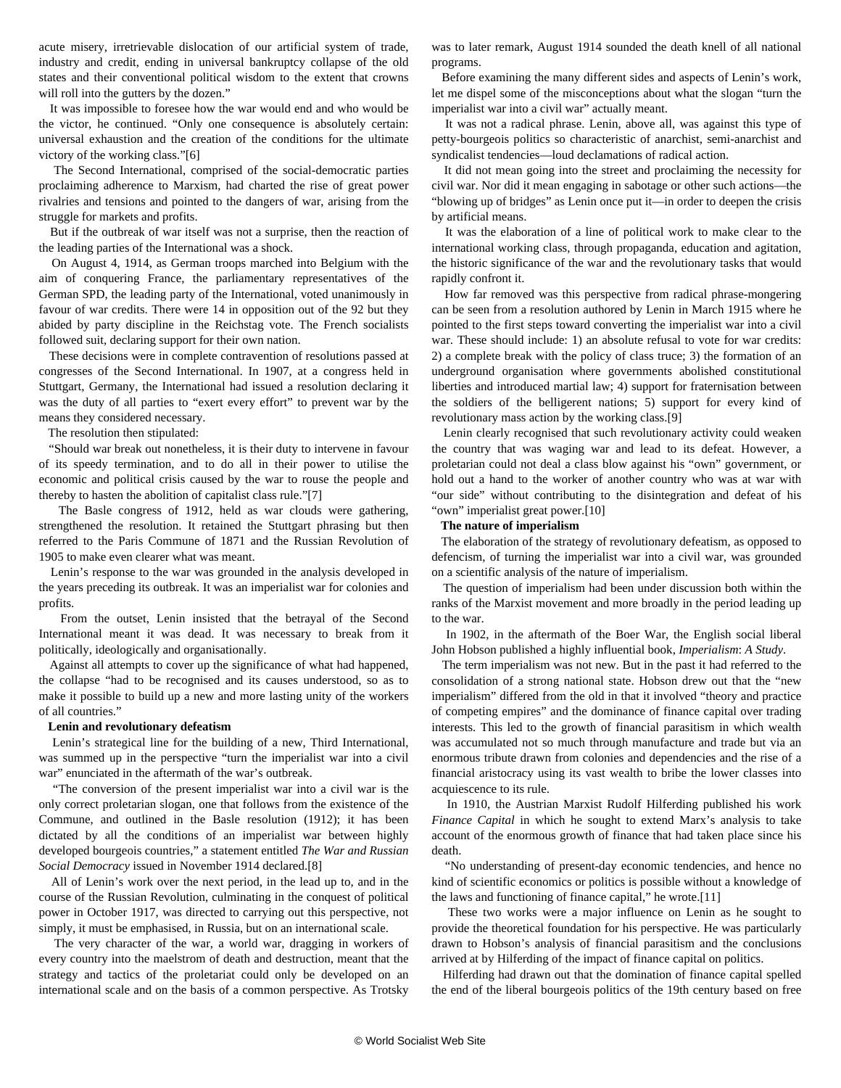acute misery, irretrievable dislocation of our artificial system of trade, industry and credit, ending in universal bankruptcy collapse of the old states and their conventional political wisdom to the extent that crowns will roll into the gutters by the dozen."

 It was impossible to foresee how the war would end and who would be the victor, he continued. "Only one consequence is absolutely certain: universal exhaustion and the creation of the conditions for the ultimate victory of the working class."[6]

 The Second International, comprised of the social-democratic parties proclaiming adherence to Marxism, had charted the rise of great power rivalries and tensions and pointed to the dangers of war, arising from the struggle for markets and profits.

 But if the outbreak of war itself was not a surprise, then the reaction of the leading parties of the International was a shock.

 On August 4, 1914, as German troops marched into Belgium with the aim of conquering France, the parliamentary representatives of the German SPD, the leading party of the International, voted unanimously in favour of war credits. There were 14 in opposition out of the 92 but they abided by party discipline in the Reichstag vote. The French socialists followed suit, declaring support for their own nation.

 These decisions were in complete contravention of resolutions passed at congresses of the Second International. In 1907, at a congress held in Stuttgart, Germany, the International had issued a resolution declaring it was the duty of all parties to "exert every effort" to prevent war by the means they considered necessary.

The resolution then stipulated:

 "Should war break out nonetheless, it is their duty to intervene in favour of its speedy termination, and to do all in their power to utilise the economic and political crisis caused by the war to rouse the people and thereby to hasten the abolition of capitalist class rule."[7]

 The Basle congress of 1912, held as war clouds were gathering, strengthened the resolution. It retained the Stuttgart phrasing but then referred to the Paris Commune of 1871 and the Russian Revolution of 1905 to make even clearer what was meant.

 Lenin's response to the war was grounded in the analysis developed in the years preceding its outbreak. It was an imperialist war for colonies and profits.

 From the outset, Lenin insisted that the betrayal of the Second International meant it was dead. It was necessary to break from it politically, ideologically and organisationally.

 Against all attempts to cover up the significance of what had happened, the collapse "had to be recognised and its causes understood, so as to make it possible to build up a new and more lasting unity of the workers of all countries."

#### **Lenin and revolutionary defeatism**

 Lenin's strategical line for the building of a new, Third International, was summed up in the perspective "turn the imperialist war into a civil war" enunciated in the aftermath of the war's outbreak.

 "The conversion of the present imperialist war into a civil war is the only correct proletarian slogan, one that follows from the existence of the Commune, and outlined in the Basle resolution (1912); it has been dictated by all the conditions of an imperialist war between highly developed bourgeois countries," a statement entitled *The War and Russian Social Democracy* issued in November 1914 declared.[8]

 All of Lenin's work over the next period, in the lead up to, and in the course of the Russian Revolution, culminating in the conquest of political power in October 1917, was directed to carrying out this perspective, not simply, it must be emphasised, in Russia, but on an international scale.

 The very character of the war, a world war, dragging in workers of every country into the maelstrom of death and destruction, meant that the strategy and tactics of the proletariat could only be developed on an international scale and on the basis of a common perspective. As Trotsky was to later remark, August 1914 sounded the death knell of all national programs.

 Before examining the many different sides and aspects of Lenin's work, let me dispel some of the misconceptions about what the slogan "turn the imperialist war into a civil war" actually meant.

 It was not a radical phrase. Lenin, above all, was against this type of petty-bourgeois politics so characteristic of anarchist, semi-anarchist and syndicalist tendencies—loud declamations of radical action.

 It did not mean going into the street and proclaiming the necessity for civil war. Nor did it mean engaging in sabotage or other such actions—the "blowing up of bridges" as Lenin once put it—in order to deepen the crisis by artificial means.

 It was the elaboration of a line of political work to make clear to the international working class, through propaganda, education and agitation, the historic significance of the war and the revolutionary tasks that would rapidly confront it.

 How far removed was this perspective from radical phrase-mongering can be seen from a resolution authored by Lenin in March 1915 where he pointed to the first steps toward converting the imperialist war into a civil war. These should include: 1) an absolute refusal to vote for war credits: 2) a complete break with the policy of class truce; 3) the formation of an underground organisation where governments abolished constitutional liberties and introduced martial law; 4) support for fraternisation between the soldiers of the belligerent nations; 5) support for every kind of revolutionary mass action by the working class.[9]

 Lenin clearly recognised that such revolutionary activity could weaken the country that was waging war and lead to its defeat. However, a proletarian could not deal a class blow against his "own" government, or hold out a hand to the worker of another country who was at war with "our side" without contributing to the disintegration and defeat of his "own" imperialist great power.[10]

#### **The nature of imperialism**

 The elaboration of the strategy of revolutionary defeatism, as opposed to defencism, of turning the imperialist war into a civil war, was grounded on a scientific analysis of the nature of imperialism.

 The question of imperialism had been under discussion both within the ranks of the Marxist movement and more broadly in the period leading up to the war.

 In 1902, in the aftermath of the Boer War, the English social liberal John Hobson published a highly influential book, *Imperialism*: *A Study*.

 The term imperialism was not new. But in the past it had referred to the consolidation of a strong national state. Hobson drew out that the "new imperialism" differed from the old in that it involved "theory and practice of competing empires" and the dominance of finance capital over trading interests. This led to the growth of financial parasitism in which wealth was accumulated not so much through manufacture and trade but via an enormous tribute drawn from colonies and dependencies and the rise of a financial aristocracy using its vast wealth to bribe the lower classes into acquiescence to its rule.

 In 1910, the Austrian Marxist Rudolf Hilferding published his work *Finance Capital* in which he sought to extend Marx's analysis to take account of the enormous growth of finance that had taken place since his death.

 "No understanding of present-day economic tendencies, and hence no kind of scientific economics or politics is possible without a knowledge of the laws and functioning of finance capital," he wrote.[11]

 These two works were a major influence on Lenin as he sought to provide the theoretical foundation for his perspective. He was particularly drawn to Hobson's analysis of financial parasitism and the conclusions arrived at by Hilferding of the impact of finance capital on politics.

 Hilferding had drawn out that the domination of finance capital spelled the end of the liberal bourgeois politics of the 19th century based on free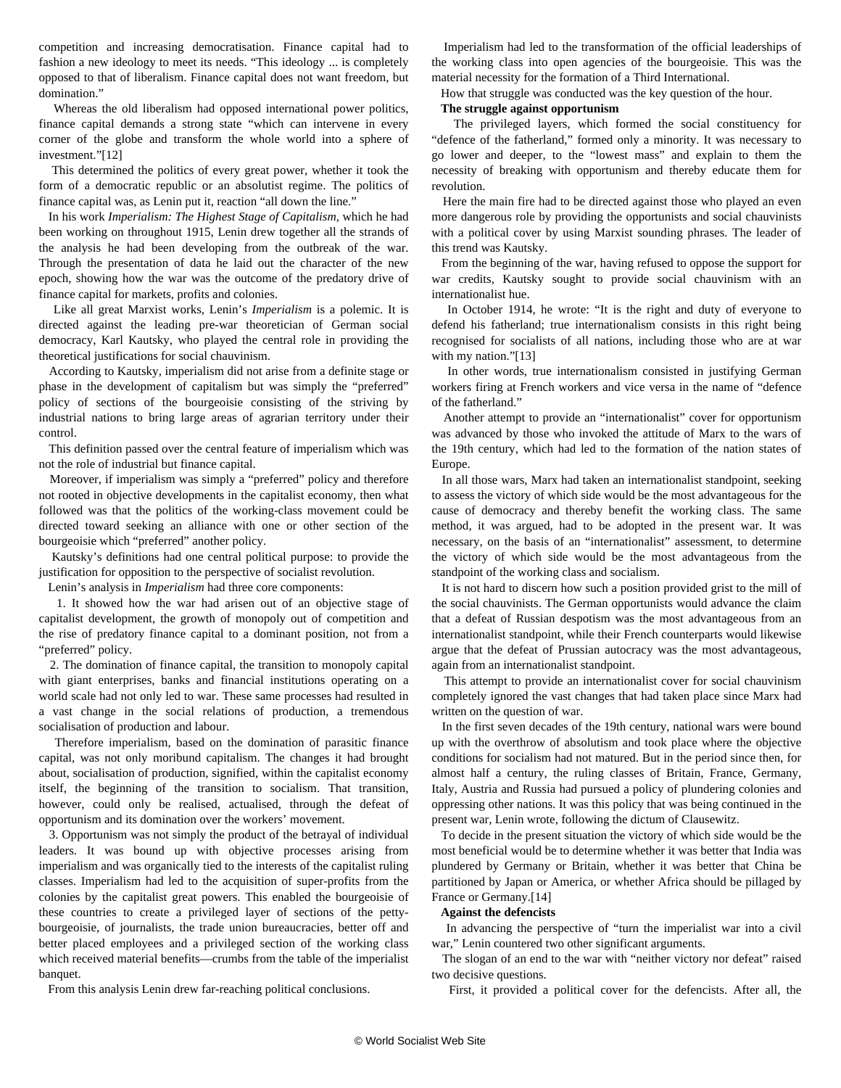competition and increasing democratisation. Finance capital had to fashion a new ideology to meet its needs. "This ideology ... is completely opposed to that of liberalism. Finance capital does not want freedom, but domination."

 Whereas the old liberalism had opposed international power politics, finance capital demands a strong state "which can intervene in every corner of the globe and transform the whole world into a sphere of investment."[12]

 This determined the politics of every great power, whether it took the form of a democratic republic or an absolutist regime. The politics of finance capital was, as Lenin put it, reaction "all down the line."

 In his work *Imperialism: The Highest Stage of Capitalism*, which he had been working on throughout 1915, Lenin drew together all the strands of the analysis he had been developing from the outbreak of the war. Through the presentation of data he laid out the character of the new epoch, showing how the war was the outcome of the predatory drive of finance capital for markets, profits and colonies.

 Like all great Marxist works, Lenin's *Imperialism* is a polemic. It is directed against the leading pre-war theoretician of German social democracy, Karl Kautsky, who played the central role in providing the theoretical justifications for social chauvinism.

 According to Kautsky, imperialism did not arise from a definite stage or phase in the development of capitalism but was simply the "preferred" policy of sections of the bourgeoisie consisting of the striving by industrial nations to bring large areas of agrarian territory under their control.

 This definition passed over the central feature of imperialism which was not the role of industrial but finance capital.

 Moreover, if imperialism was simply a "preferred" policy and therefore not rooted in objective developments in the capitalist economy, then what followed was that the politics of the working-class movement could be directed toward seeking an alliance with one or other section of the bourgeoisie which "preferred" another policy.

 Kautsky's definitions had one central political purpose: to provide the justification for opposition to the perspective of socialist revolution.

Lenin's analysis in *Imperialism* had three core components:

 1. It showed how the war had arisen out of an objective stage of capitalist development, the growth of monopoly out of competition and the rise of predatory finance capital to a dominant position, not from a "preferred" policy.

 2. The domination of finance capital, the transition to monopoly capital with giant enterprises, banks and financial institutions operating on a world scale had not only led to war. These same processes had resulted in a vast change in the social relations of production, a tremendous socialisation of production and labour.

 Therefore imperialism, based on the domination of parasitic finance capital, was not only moribund capitalism. The changes it had brought about, socialisation of production, signified, within the capitalist economy itself, the beginning of the transition to socialism. That transition, however, could only be realised, actualised, through the defeat of opportunism and its domination over the workers' movement.

 3. Opportunism was not simply the product of the betrayal of individual leaders. It was bound up with objective processes arising from imperialism and was organically tied to the interests of the capitalist ruling classes. Imperialism had led to the acquisition of super-profits from the colonies by the capitalist great powers. This enabled the bourgeoisie of these countries to create a privileged layer of sections of the pettybourgeoisie, of journalists, the trade union bureaucracies, better off and better placed employees and a privileged section of the working class which received material benefits—crumbs from the table of the imperialist banquet.

From this analysis Lenin drew far-reaching political conclusions.

 Imperialism had led to the transformation of the official leaderships of the working class into open agencies of the bourgeoisie. This was the material necessity for the formation of a Third International.

How that struggle was conducted was the key question of the hour.

#### **The struggle against opportunism**

 The privileged layers, which formed the social constituency for "defence of the fatherland," formed only a minority. It was necessary to go lower and deeper, to the "lowest mass" and explain to them the necessity of breaking with opportunism and thereby educate them for revolution.

 Here the main fire had to be directed against those who played an even more dangerous role by providing the opportunists and social chauvinists with a political cover by using Marxist sounding phrases. The leader of this trend was Kautsky.

 From the beginning of the war, having refused to oppose the support for war credits, Kautsky sought to provide social chauvinism with an internationalist hue.

 In October 1914, he wrote: "It is the right and duty of everyone to defend his fatherland; true internationalism consists in this right being recognised for socialists of all nations, including those who are at war with my nation."[13]

 In other words, true internationalism consisted in justifying German workers firing at French workers and vice versa in the name of "defence of the fatherland."

 Another attempt to provide an "internationalist" cover for opportunism was advanced by those who invoked the attitude of Marx to the wars of the 19th century, which had led to the formation of the nation states of Europe.

 In all those wars, Marx had taken an internationalist standpoint, seeking to assess the victory of which side would be the most advantageous for the cause of democracy and thereby benefit the working class. The same method, it was argued, had to be adopted in the present war. It was necessary, on the basis of an "internationalist" assessment, to determine the victory of which side would be the most advantageous from the standpoint of the working class and socialism.

 It is not hard to discern how such a position provided grist to the mill of the social chauvinists. The German opportunists would advance the claim that a defeat of Russian despotism was the most advantageous from an internationalist standpoint, while their French counterparts would likewise argue that the defeat of Prussian autocracy was the most advantageous, again from an internationalist standpoint.

 This attempt to provide an internationalist cover for social chauvinism completely ignored the vast changes that had taken place since Marx had written on the question of war.

 In the first seven decades of the 19th century, national wars were bound up with the overthrow of absolutism and took place where the objective conditions for socialism had not matured. But in the period since then, for almost half a century, the ruling classes of Britain, France, Germany, Italy, Austria and Russia had pursued a policy of plundering colonies and oppressing other nations. It was this policy that was being continued in the present war, Lenin wrote, following the dictum of Clausewitz.

 To decide in the present situation the victory of which side would be the most beneficial would be to determine whether it was better that India was plundered by Germany or Britain, whether it was better that China be partitioned by Japan or America, or whether Africa should be pillaged by France or Germany.[14]

#### **Against the defencists**

 In advancing the perspective of "turn the imperialist war into a civil war," Lenin countered two other significant arguments.

 The slogan of an end to the war with "neither victory nor defeat" raised two decisive questions.

First, it provided a political cover for the defencists. After all, the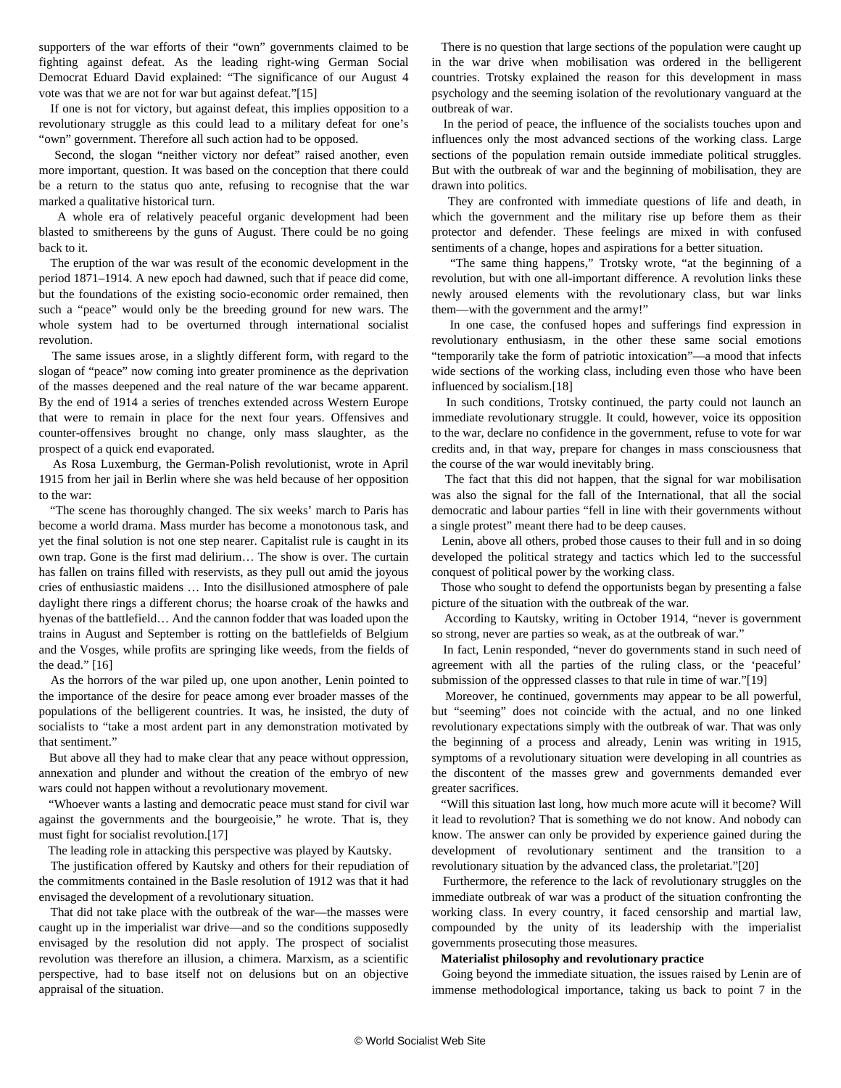supporters of the war efforts of their "own" governments claimed to be fighting against defeat. As the leading right-wing German Social Democrat Eduard David explained: "The significance of our August 4 vote was that we are not for war but against defeat."[15]

 If one is not for victory, but against defeat, this implies opposition to a revolutionary struggle as this could lead to a military defeat for one's "own" government. Therefore all such action had to be opposed.

 Second, the slogan "neither victory nor defeat" raised another, even more important, question. It was based on the conception that there could be a return to the status quo ante, refusing to recognise that the war marked a qualitative historical turn.

 A whole era of relatively peaceful organic development had been blasted to smithereens by the guns of August. There could be no going back to it.

 The eruption of the war was result of the economic development in the period 1871–1914. A new epoch had dawned, such that if peace did come, but the foundations of the existing socio-economic order remained, then such a "peace" would only be the breeding ground for new wars. The whole system had to be overturned through international socialist revolution.

 The same issues arose, in a slightly different form, with regard to the slogan of "peace" now coming into greater prominence as the deprivation of the masses deepened and the real nature of the war became apparent. By the end of 1914 a series of trenches extended across Western Europe that were to remain in place for the next four years. Offensives and counter-offensives brought no change, only mass slaughter, as the prospect of a quick end evaporated.

 As Rosa Luxemburg, the German-Polish revolutionist, wrote in April 1915 from her jail in Berlin where she was held because of her opposition to the war:

 "The scene has thoroughly changed. The six weeks' march to Paris has become a world drama. Mass murder has become a monotonous task, and yet the final solution is not one step nearer. Capitalist rule is caught in its own trap. Gone is the first mad delirium… The show is over. The curtain has fallen on trains filled with reservists, as they pull out amid the joyous cries of enthusiastic maidens … Into the disillusioned atmosphere of pale daylight there rings a different chorus; the hoarse croak of the hawks and hyenas of the battlefield… And the cannon fodder that was loaded upon the trains in August and September is rotting on the battlefields of Belgium and the Vosges, while profits are springing like weeds, from the fields of the dead." [16]

 As the horrors of the war piled up, one upon another, Lenin pointed to the importance of the desire for peace among ever broader masses of the populations of the belligerent countries. It was, he insisted, the duty of socialists to "take a most ardent part in any demonstration motivated by that sentiment."

 But above all they had to make clear that any peace without oppression, annexation and plunder and without the creation of the embryo of new wars could not happen without a revolutionary movement.

 "Whoever wants a lasting and democratic peace must stand for civil war against the governments and the bourgeoisie," he wrote. That is, they must fight for socialist revolution.[17]

The leading role in attacking this perspective was played by Kautsky.

 The justification offered by Kautsky and others for their repudiation of the commitments contained in the Basle resolution of 1912 was that it had envisaged the development of a revolutionary situation.

 That did not take place with the outbreak of the war—the masses were caught up in the imperialist war drive—and so the conditions supposedly envisaged by the resolution did not apply. The prospect of socialist revolution was therefore an illusion, a chimera. Marxism, as a scientific perspective, had to base itself not on delusions but on an objective appraisal of the situation.

 There is no question that large sections of the population were caught up in the war drive when mobilisation was ordered in the belligerent countries. Trotsky explained the reason for this development in mass psychology and the seeming isolation of the revolutionary vanguard at the outbreak of war.

 In the period of peace, the influence of the socialists touches upon and influences only the most advanced sections of the working class. Large sections of the population remain outside immediate political struggles. But with the outbreak of war and the beginning of mobilisation, they are drawn into politics.

 They are confronted with immediate questions of life and death, in which the government and the military rise up before them as their protector and defender. These feelings are mixed in with confused sentiments of a change, hopes and aspirations for a better situation.

 "The same thing happens," Trotsky wrote, "at the beginning of a revolution, but with one all-important difference. A revolution links these newly aroused elements with the revolutionary class, but war links them—with the government and the army!"

 In one case, the confused hopes and sufferings find expression in revolutionary enthusiasm, in the other these same social emotions "temporarily take the form of patriotic intoxication"—a mood that infects wide sections of the working class, including even those who have been influenced by socialism.[18]

 In such conditions, Trotsky continued, the party could not launch an immediate revolutionary struggle. It could, however, voice its opposition to the war, declare no confidence in the government, refuse to vote for war credits and, in that way, prepare for changes in mass consciousness that the course of the war would inevitably bring.

 The fact that this did not happen, that the signal for war mobilisation was also the signal for the fall of the International, that all the social democratic and labour parties "fell in line with their governments without a single protest" meant there had to be deep causes.

 Lenin, above all others, probed those causes to their full and in so doing developed the political strategy and tactics which led to the successful conquest of political power by the working class.

 Those who sought to defend the opportunists began by presenting a false picture of the situation with the outbreak of the war.

 According to Kautsky, writing in October 1914, "never is government so strong, never are parties so weak, as at the outbreak of war."

 In fact, Lenin responded, "never do governments stand in such need of agreement with all the parties of the ruling class, or the 'peaceful' submission of the oppressed classes to that rule in time of war."[19]

 Moreover, he continued, governments may appear to be all powerful, but "seeming" does not coincide with the actual, and no one linked revolutionary expectations simply with the outbreak of war. That was only the beginning of a process and already, Lenin was writing in 1915, symptoms of a revolutionary situation were developing in all countries as the discontent of the masses grew and governments demanded ever greater sacrifices.

 "Will this situation last long, how much more acute will it become? Will it lead to revolution? That is something we do not know. And nobody can know. The answer can only be provided by experience gained during the development of revolutionary sentiment and the transition to a revolutionary situation by the advanced class, the proletariat."[20]

 Furthermore, the reference to the lack of revolutionary struggles on the immediate outbreak of war was a product of the situation confronting the working class. In every country, it faced censorship and martial law, compounded by the unity of its leadership with the imperialist governments prosecuting those measures.

#### **Materialist philosophy and revolutionary practice**

 Going beyond the immediate situation, the issues raised by Lenin are of immense methodological importance, taking us back to point 7 in the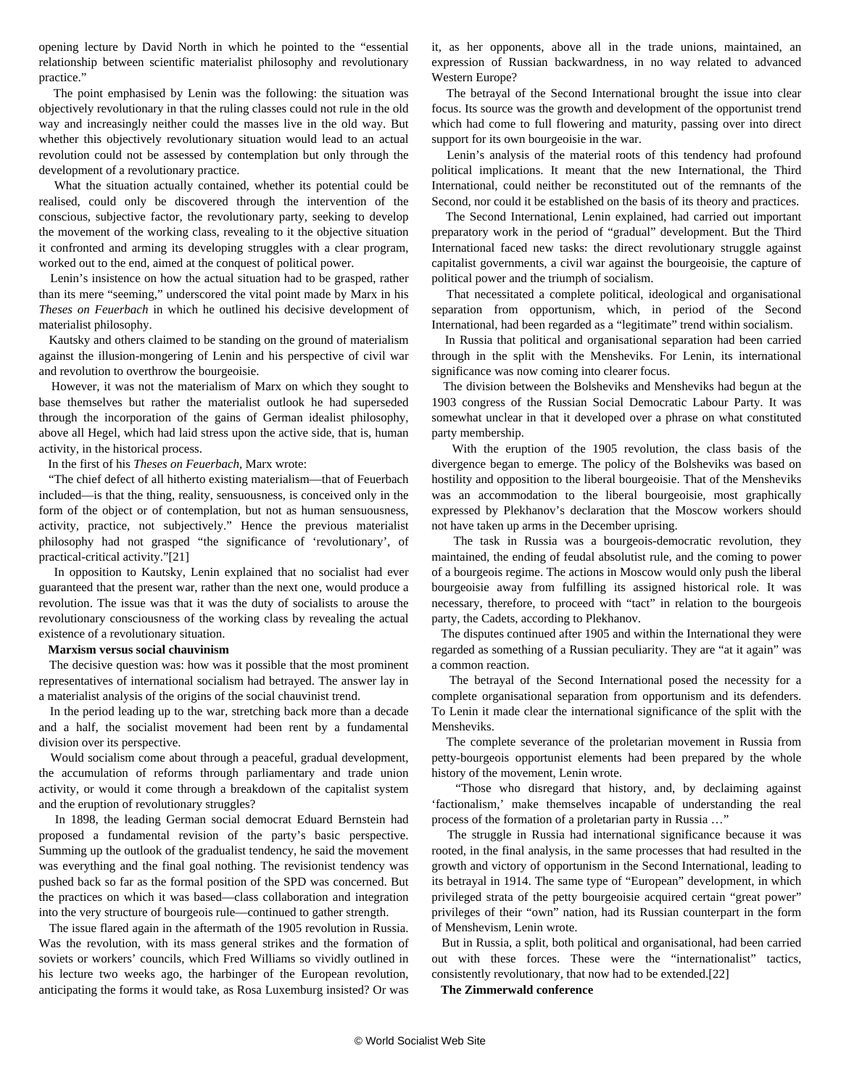opening lecture by David North in which he pointed to the "essential relationship between scientific materialist philosophy and revolutionary practice."

 The point emphasised by Lenin was the following: the situation was objectively revolutionary in that the ruling classes could not rule in the old way and increasingly neither could the masses live in the old way. But whether this objectively revolutionary situation would lead to an actual revolution could not be assessed by contemplation but only through the development of a revolutionary practice.

 What the situation actually contained, whether its potential could be realised, could only be discovered through the intervention of the conscious, subjective factor, the revolutionary party, seeking to develop the movement of the working class, revealing to it the objective situation it confronted and arming its developing struggles with a clear program, worked out to the end, aimed at the conquest of political power.

 Lenin's insistence on how the actual situation had to be grasped, rather than its mere "seeming," underscored the vital point made by Marx in his *Theses on Feuerbach* in which he outlined his decisive development of materialist philosophy.

 Kautsky and others claimed to be standing on the ground of materialism against the illusion-mongering of Lenin and his perspective of civil war and revolution to overthrow the bourgeoisie.

 However, it was not the materialism of Marx on which they sought to base themselves but rather the materialist outlook he had superseded through the incorporation of the gains of German idealist philosophy, above all Hegel, which had laid stress upon the active side, that is, human activity, in the historical process.

In the first of his *Theses on Feuerbach*, Marx wrote:

 "The chief defect of all hitherto existing materialism—that of Feuerbach included—is that the thing, reality, sensuousness, is conceived only in the form of the object or of contemplation, but not as human sensuousness, activity, practice, not subjectively." Hence the previous materialist philosophy had not grasped "the significance of 'revolutionary', of practical-critical activity."[21]

 In opposition to Kautsky, Lenin explained that no socialist had ever guaranteed that the present war, rather than the next one, would produce a revolution. The issue was that it was the duty of socialists to arouse the revolutionary consciousness of the working class by revealing the actual existence of a revolutionary situation.

#### **Marxism versus social chauvinism**

 The decisive question was: how was it possible that the most prominent representatives of international socialism had betrayed. The answer lay in a materialist analysis of the origins of the social chauvinist trend.

 In the period leading up to the war, stretching back more than a decade and a half, the socialist movement had been rent by a fundamental division over its perspective.

 Would socialism come about through a peaceful, gradual development, the accumulation of reforms through parliamentary and trade union activity, or would it come through a breakdown of the capitalist system and the eruption of revolutionary struggles?

 In 1898, the leading German social democrat Eduard Bernstein had proposed a fundamental revision of the party's basic perspective. Summing up the outlook of the gradualist tendency, he said the movement was everything and the final goal nothing. The revisionist tendency was pushed back so far as the formal position of the SPD was concerned. But the practices on which it was based—class collaboration and integration into the very structure of bourgeois rule—continued to gather strength.

 The issue flared again in the aftermath of the 1905 revolution in Russia. Was the revolution, with its mass general strikes and the formation of soviets or workers' councils, which Fred Williams so vividly outlined in his lecture two weeks ago, the harbinger of the European revolution, anticipating the forms it would take, as Rosa Luxemburg insisted? Or was

it, as her opponents, above all in the trade unions, maintained, an expression of Russian backwardness, in no way related to advanced Western Europe?

 The betrayal of the Second International brought the issue into clear focus. Its source was the growth and development of the opportunist trend which had come to full flowering and maturity, passing over into direct support for its own bourgeoisie in the war.

 Lenin's analysis of the material roots of this tendency had profound political implications. It meant that the new International, the Third International, could neither be reconstituted out of the remnants of the Second, nor could it be established on the basis of its theory and practices.

 The Second International, Lenin explained, had carried out important preparatory work in the period of "gradual" development. But the Third International faced new tasks: the direct revolutionary struggle against capitalist governments, a civil war against the bourgeoisie, the capture of political power and the triumph of socialism.

 That necessitated a complete political, ideological and organisational separation from opportunism, which, in period of the Second International, had been regarded as a "legitimate" trend within socialism.

 In Russia that political and organisational separation had been carried through in the split with the Mensheviks. For Lenin, its international significance was now coming into clearer focus.

 The division between the Bolsheviks and Mensheviks had begun at the 1903 congress of the Russian Social Democratic Labour Party. It was somewhat unclear in that it developed over a phrase on what constituted party membership.

 With the eruption of the 1905 revolution, the class basis of the divergence began to emerge. The policy of the Bolsheviks was based on hostility and opposition to the liberal bourgeoisie. That of the Mensheviks was an accommodation to the liberal bourgeoisie, most graphically expressed by Plekhanov's declaration that the Moscow workers should not have taken up arms in the December uprising.

 The task in Russia was a bourgeois-democratic revolution, they maintained, the ending of feudal absolutist rule, and the coming to power of a bourgeois regime. The actions in Moscow would only push the liberal bourgeoisie away from fulfilling its assigned historical role. It was necessary, therefore, to proceed with "tact" in relation to the bourgeois party, the Cadets, according to Plekhanov.

 The disputes continued after 1905 and within the International they were regarded as something of a Russian peculiarity. They are "at it again" was a common reaction.

 The betrayal of the Second International posed the necessity for a complete organisational separation from opportunism and its defenders. To Lenin it made clear the international significance of the split with the **Mensheviks** 

 The complete severance of the proletarian movement in Russia from petty-bourgeois opportunist elements had been prepared by the whole history of the movement, Lenin wrote.

 "Those who disregard that history, and, by declaiming against 'factionalism,' make themselves incapable of understanding the real process of the formation of a proletarian party in Russia …"

 The struggle in Russia had international significance because it was rooted, in the final analysis, in the same processes that had resulted in the growth and victory of opportunism in the Second International, leading to its betrayal in 1914. The same type of "European" development, in which privileged strata of the petty bourgeoisie acquired certain "great power" privileges of their "own" nation, had its Russian counterpart in the form of Menshevism, Lenin wrote.

 But in Russia, a split, both political and organisational, had been carried out with these forces. These were the "internationalist" tactics, consistently revolutionary, that now had to be extended.[22]

**The Zimmerwald conference**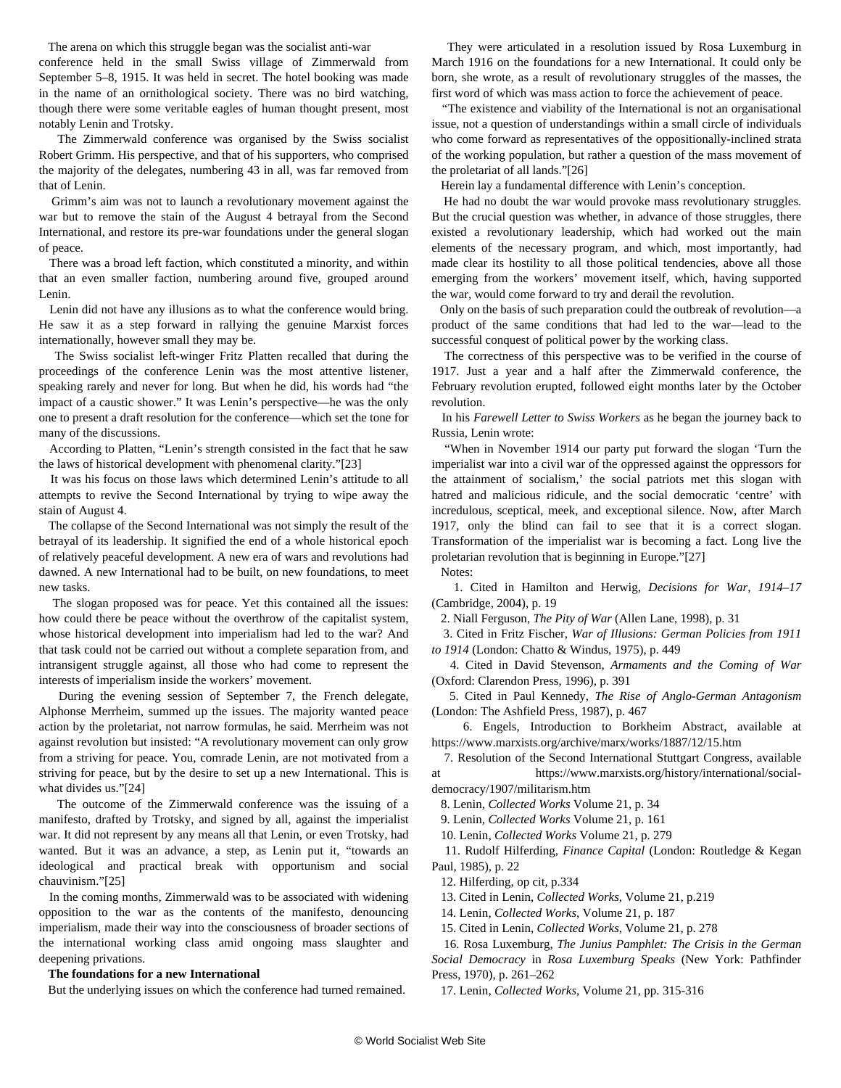The arena on which this struggle began was the socialist anti-war conference held in the small Swiss village of Zimmerwald from September 5–8, 1915. It was held in secret. The hotel booking was made in the name of an ornithological society. There was no bird watching, though there were some veritable eagles of human thought present, most notably Lenin and Trotsky.

 The Zimmerwald conference was organised by the Swiss socialist Robert Grimm. His perspective, and that of his supporters, who comprised the majority of the delegates, numbering 43 in all, was far removed from that of Lenin.

 Grimm's aim was not to launch a revolutionary movement against the war but to remove the stain of the August 4 betrayal from the Second International, and restore its pre-war foundations under the general slogan of peace.

 There was a broad left faction, which constituted a minority, and within that an even smaller faction, numbering around five, grouped around Lenin.

 Lenin did not have any illusions as to what the conference would bring. He saw it as a step forward in rallying the genuine Marxist forces internationally, however small they may be.

 The Swiss socialist left-winger Fritz Platten recalled that during the proceedings of the conference Lenin was the most attentive listener, speaking rarely and never for long. But when he did, his words had "the impact of a caustic shower." It was Lenin's perspective—he was the only one to present a draft resolution for the conference—which set the tone for many of the discussions.

 According to Platten, "Lenin's strength consisted in the fact that he saw the laws of historical development with phenomenal clarity."[23]

 It was his focus on those laws which determined Lenin's attitude to all attempts to revive the Second International by trying to wipe away the stain of August 4.

 The collapse of the Second International was not simply the result of the betrayal of its leadership. It signified the end of a whole historical epoch of relatively peaceful development. A new era of wars and revolutions had dawned. A new International had to be built, on new foundations, to meet new tasks.

 The slogan proposed was for peace. Yet this contained all the issues: how could there be peace without the overthrow of the capitalist system, whose historical development into imperialism had led to the war? And that task could not be carried out without a complete separation from, and intransigent struggle against, all those who had come to represent the interests of imperialism inside the workers' movement.

 During the evening session of September 7, the French delegate, Alphonse Merrheim, summed up the issues. The majority wanted peace action by the proletariat, not narrow formulas, he said. Merrheim was not against revolution but insisted: "A revolutionary movement can only grow from a striving for peace. You, comrade Lenin, are not motivated from a striving for peace, but by the desire to set up a new International. This is what divides us."[24]

 The outcome of the Zimmerwald conference was the issuing of a manifesto, drafted by Trotsky, and signed by all, against the imperialist war. It did not represent by any means all that Lenin, or even Trotsky, had wanted. But it was an advance, a step, as Lenin put it, "towards an ideological and practical break with opportunism and social chauvinism."[25]

 In the coming months, Zimmerwald was to be associated with widening opposition to the war as the contents of the manifesto, denouncing imperialism, made their way into the consciousness of broader sections of the international working class amid ongoing mass slaughter and deepening privations.

#### **The foundations for a new International**

But the underlying issues on which the conference had turned remained.

 They were articulated in a resolution issued by Rosa Luxemburg in March 1916 on the foundations for a new International. It could only be born, she wrote, as a result of revolutionary struggles of the masses, the first word of which was mass action to force the achievement of peace.

 "The existence and viability of the International is not an organisational issue, not a question of understandings within a small circle of individuals who come forward as representatives of the oppositionally-inclined strata of the working population, but rather a question of the mass movement of the proletariat of all lands."[26]

Herein lay a fundamental difference with Lenin's conception.

 He had no doubt the war would provoke mass revolutionary struggles. But the crucial question was whether, in advance of those struggles, there existed a revolutionary leadership, which had worked out the main elements of the necessary program, and which, most importantly, had made clear its hostility to all those political tendencies, above all those emerging from the workers' movement itself, which, having supported the war, would come forward to try and derail the revolution.

 Only on the basis of such preparation could the outbreak of revolution—a product of the same conditions that had led to the war—lead to the successful conquest of political power by the working class.

 The correctness of this perspective was to be verified in the course of 1917. Just a year and a half after the Zimmerwald conference, the February revolution erupted, followed eight months later by the October revolution.

 In his *Farewell Letter to Swiss Workers* as he began the journey back to Russia, Lenin wrote:

 "When in November 1914 our party put forward the slogan 'Turn the imperialist war into a civil war of the oppressed against the oppressors for the attainment of socialism,' the social patriots met this slogan with hatred and malicious ridicule, and the social democratic 'centre' with incredulous, sceptical, meek, and exceptional silence. Now, after March 1917, only the blind can fail to see that it is a correct slogan. Transformation of the imperialist war is becoming a fact. Long live the proletarian revolution that is beginning in Europe."[27]

Notes:

 1. Cited in Hamilton and Herwig, *Decisions for War, 1914–17* (Cambridge, 2004), p. 19

2. Niall Ferguson, *The Pity of War* (Allen Lane, 1998), p. 31

 3. Cited in Fritz Fischer, *War of Illusions: German Policies from 1911 to 1914* (London: Chatto & Windus, 1975), p. 449

 4. Cited in David Stevenson, *Armaments and the Coming of War* (Oxford: Clarendon Press, 1996), p. 391

 5. Cited in Paul Kennedy, *The Rise of Anglo-German Antagonism* (London: The Ashfield Press, 1987), p. 467

 6. Engels, Introduction to Borkheim Abstract, available at <https://www.marxists.org/archive/marx/works/1887/12/15.htm>

 7. Resolution of the Second International Stuttgart Congress, available at [https://www.marxists.org/history/international/social-](https://www.marxists.org/history/international/social-democracy/1907/militarism.htm)

[democracy/1907/militarism.htm](https://www.marxists.org/history/international/social-democracy/1907/militarism.htm) 8. Lenin, *Collected Works* Volume 21, p. 34

9. Lenin, *Collected Works* Volume 21, p. 161

10. Lenin, *Collected Works* Volume 21, p. 279

11. Rudolf Hilferding, *Finance Capital* (London: Routledge & Kegan

Paul, 1985), p. 22

12. Hilferding, op cit, p.334

13. Cited in Lenin, *Collected Works*, Volume 21, p.219

14. Lenin, *Collected Works*, Volume 21, p. 187

15. Cited in Lenin, *Collected Works*, Volume 21, p. 278

 16. Rosa Luxemburg, *The Junius Pamphlet: The Crisis in the German Social Democracy* in *Rosa Luxemburg Speaks* (New York: Pathfinder Press, 1970), p. 261–262

17. Lenin, *Collected Works*, Volume 21, pp. 315-316